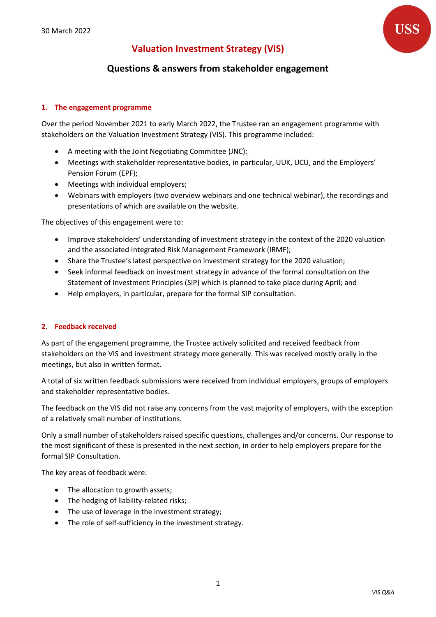# **Valuation Investment Strategy (VIS)**



# **Questions & answers from stakeholder engagement**

#### **1. The engagement programme**

Over the period November 2021 to early March 2022, the Trustee ran an engagement programme with stakeholders on the Valuation Investment Strategy (VIS). This programme included:

- A meeting with the Joint Negotiating Committee (JNC);
- Meetings with stakeholder representative bodies, in particular, UUK, UCU, and the Employers' Pension Forum (EPF);
- Meetings with individual employers;
- Webinars with employers (two overview webinars and one technical webinar), the recordings and presentations of which are available on the website.

The objectives of this engagement were to:

- Improve stakeholders' understanding of investment strategy in the context of the 2020 valuation and the associated Integrated Risk Management Framework (IRMF);
- Share the Trustee's latest perspective on investment strategy for the 2020 valuation;
- Seek informal feedback on investment strategy in advance of the formal consultation on the Statement of Investment Principles (SIP) which is planned to take place during April; and
- Help employers, in particular, prepare for the formal SIP consultation.

#### **2. Feedback received**

As part of the engagement programme, the Trustee actively solicited and received feedback from stakeholders on the VIS and investment strategy more generally. This was received mostly orally in the meetings, but also in written format.

A total of six written feedback submissions were received from individual employers, groups of employers and stakeholder representative bodies.

The feedback on the VIS did not raise any concerns from the vast majority of employers, with the exception of a relatively small number of institutions.

Only a small number of stakeholders raised specific questions, challenges and/or concerns. Our response to the most significant of these is presented in the next section, in order to help employers prepare for the formal SIP Consultation.

The key areas of feedback were:

- The allocation to growth assets;
- The hedging of liability-related risks;
- The use of leverage in the investment strategy;
- The role of self-sufficiency in the investment strategy.

1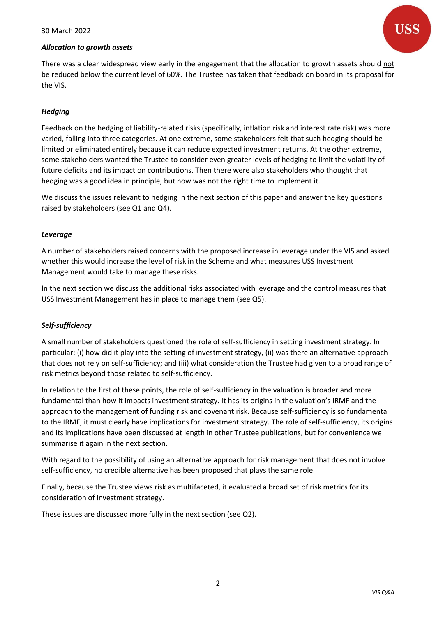

There was a clear widespread view early in the engagement that the allocation to growth assets should not be reduced below the current level of 60%. The Trustee has taken that feedback on board in its proposal for the VIS.

#### *Hedging*

Feedback on the hedging of liability-related risks (specifically, inflation risk and interest rate risk) was more varied, falling into three categories. At one extreme, some stakeholders felt that such hedging should be limited or eliminated entirely because it can reduce expected investment returns. At the other extreme, some stakeholders wanted the Trustee to consider even greater levels of hedging to limit the volatility of future deficits and its impact on contributions. Then there were also stakeholders who thought that hedging was a good idea in principle, but now was not the right time to implement it.

We discuss the issues relevant to hedging in the next section of this paper and answer the key questions raised by stakeholders (see Q1 and Q4).

#### *Leverage*

A number of stakeholders raised concerns with the proposed increase in leverage under the VIS and asked whether this would increase the level of risk in the Scheme and what measures USS Investment Management would take to manage these risks.

In the next section we discuss the additional risks associated with leverage and the control measures that USS Investment Management has in place to manage them (see Q5).

## *Self-sufficiency*

A small number of stakeholders questioned the role of self-sufficiency in setting investment strategy. In particular: (i) how did it play into the setting of investment strategy, (ii) was there an alternative approach that does not rely on self-sufficiency; and (iii) what consideration the Trustee had given to a broad range of risk metrics beyond those related to self-sufficiency.

In relation to the first of these points, the role of self-sufficiency in the valuation is broader and more fundamental than how it impacts investment strategy. It has its origins in the valuation's IRMF and the approach to the management of funding risk and covenant risk. Because self-sufficiency is so fundamental to the IRMF, it must clearly have implications for investment strategy. The role of self-sufficiency, its origins and its implications have been discussed at length in other Trustee publications, but for convenience we summarise it again in the next section.

With regard to the possibility of using an alternative approach for risk management that does not involve self-sufficiency, no credible alternative has been proposed that plays the same role.

Finally, because the Trustee views risk as multifaceted, it evaluated a broad set of risk metrics for its consideration of investment strategy.

These issues are discussed more fully in the next section (see Q2).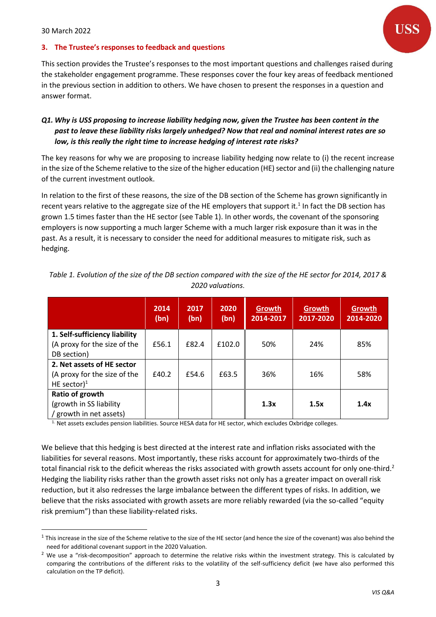

#### **3. The Trustee's responses to feedback and questions**

This section provides the Trustee's responses to the most important questions and challenges raised during the stakeholder engagement programme. These responses cover the four key areas of feedback mentioned in the previous section in addition to others. We have chosen to present the responses in a question and answer format.

# *Q1. Why is USS proposing to increase liability hedging now, given the Trustee has been content in the past to leave these liability risks largely unhedged? Now that real and nominal interest rates are so low, is this really the right time to increase hedging of interest rate risks?*

The key reasons for why we are proposing to increase liability hedging now relate to (i) the recent increase in the size of the Scheme relative to the size of the higher education (HE) sector and (ii) the challenging nature of the current investment outlook.

In relation to the first of these reasons, the size of the DB section of the Scheme has grown significantly in recent years relative to the aggregate size of the HE employers that support it.<sup>1</sup> In fact the DB section has grown 1.5 times faster than the HE sector (see Table 1). In other words, the covenant of the sponsoring employers is now supporting a much larger Scheme with a much larger risk exposure than it was in the past. As a result, it is necessary to consider the need for additional measures to mitigate risk, such as hedging.

|                                                                              | 2014<br>(bn) | 2017<br>(bn) | 2020<br>(bn) | Growth<br>2014-2017 | Growth<br>2017-2020 | Growth<br>2014-2020 |
|------------------------------------------------------------------------------|--------------|--------------|--------------|---------------------|---------------------|---------------------|
| 1. Self-sufficiency liability<br>(A proxy for the size of the<br>DB section) | £56.1        | £82.4        | £102.0       | 50%                 | 24%                 | 85%                 |
| 2. Net assets of HE sector<br>(A proxy for the size of the<br>HE sector) $1$ | £40.2        | £54.6        | £63.5        | 36%                 | 16%                 | 58%                 |
| Ratio of growth<br>(growth in SS liability)<br>/ growth in net assets)       |              |              |              | 1.3x                | 1.5x                | 1.4x                |

| Table 1. Evolution of the size of the DB section compared with the size of the HE sector for 2014, 2017 & |  |
|-----------------------------------------------------------------------------------------------------------|--|
| 2020 valuations.                                                                                          |  |

1. Net assets excludes pension liabilities. Source HESA data for HE sector, which excludes Oxbridge colleges.

We believe that this hedging is best directed at the interest rate and inflation risks associated with the liabilities for several reasons. Most importantly, these risks account for approximately two-thirds of the total financial risk to the deficit whereas the risks associated with growth assets account for only one-third.<sup>2</sup> Hedging the liability risks rather than the growth asset risks not only has a greater impact on overall risk reduction, but it also redresses the large imbalance between the different types of risks. In addition, we believe that the risks associated with growth assets are more reliably rewarded (via the so-called "equity risk premium") than these liability-related risks.

 $1$  This increase in the size of the Scheme relative to the size of the HE sector (and hence the size of the covenant) was also behind the need for additional covenant support in the 2020 Valuation.

 $2$  We use a "risk-decomposition" approach to determine the relative risks within the investment strategy. This is calculated by comparing the contributions of the different risks to the volatility of the self-sufficiency deficit (we have also performed this calculation on the TP deficit).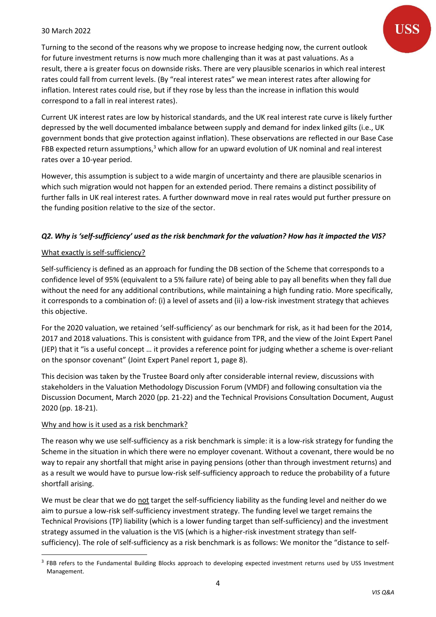Turning to the second of the reasons why we propose to increase hedging now, the current outlook for future investment returns is now much more challenging than it was at past valuations. As a result, there a is greater focus on downside risks. There are very plausible scenarios in which real interest rates could fall from current levels. (By "real interest rates" we mean interest rates after allowing for inflation. Interest rates could rise, but if they rose by less than the increase in inflation this would correspond to a fall in real interest rates).

Current UK interest rates are low by historical standards, and the UK real interest rate curve is likely further depressed by the well documented imbalance between supply and demand for index linked gilts (i.e., UK government bonds that give protection against inflation). These observations are reflected in our Base Case FBB expected return assumptions,<sup>3</sup> which allow for an upward evolution of UK nominal and real interest rates over a 10-year period.

However, this assumption is subject to a wide margin of uncertainty and there are plausible scenarios in which such migration would not happen for an extended period. There remains a distinct possibility of further falls in UK real interest rates. A further downward move in real rates would put further pressure on the funding position relative to the size of the sector.

# *Q2. Why is 'self-sufficiency' used as the risk benchmark for the valuation? How has it impacted the VIS?*

## What exactly is self-sufficiency?

Self-sufficiency is defined as an approach for funding the DB section of the Scheme that corresponds to a confidence level of 95% (equivalent to a 5% failure rate) of being able to pay all benefits when they fall due without the need for any additional contributions, while maintaining a high funding ratio. More specifically, it corresponds to a combination of: (i) a level of assets and (ii) a low-risk investment strategy that achieves this objective.

For the 2020 valuation, we retained 'self-sufficiency' as our benchmark for risk, as it had been for the 2014, 2017 and 2018 valuations. This is consistent with guidance from TPR, and the view of the Joint Expert Panel (JEP) that it "is a useful concept … it provides a reference point for judging whether a scheme is over-reliant on the sponsor covenant" (Joint Expert Panel report 1, page 8).

This decision was taken by the Trustee Board only after considerable internal review, discussions with stakeholders in the Valuation Methodology Discussion Forum (VMDF) and following consultation via the Discussion Document, March 2020 (pp. 21-22) and the Technical Provisions Consultation Document, August 2020 (pp. 18-21).

## Why and how is it used as a risk benchmark?

The reason why we use self-sufficiency as a risk benchmark is simple: it is a low-risk strategy for funding the Scheme in the situation in which there were no employer covenant. Without a covenant, there would be no way to repair any shortfall that might arise in paying pensions (other than through investment returns) and as a result we would have to pursue low-risk self-sufficiency approach to reduce the probability of a future shortfall arising.

We must be clear that we do not target the self-sufficiency liability as the funding level and neither do we aim to pursue a low-risk self-sufficiency investment strategy. The funding level we target remains the Technical Provisions (TP) liability (which is a lower funding target than self-sufficiency) and the investment strategy assumed in the valuation is the VIS (which is a higher-risk investment strategy than selfsufficiency). The role of self-sufficiency as a risk benchmark is as follows: We monitor the "distance to self-

<sup>&</sup>lt;sup>3</sup> FBB refers to the Fundamental Building Blocks approach to developing expected investment returns used by USS Investment Management.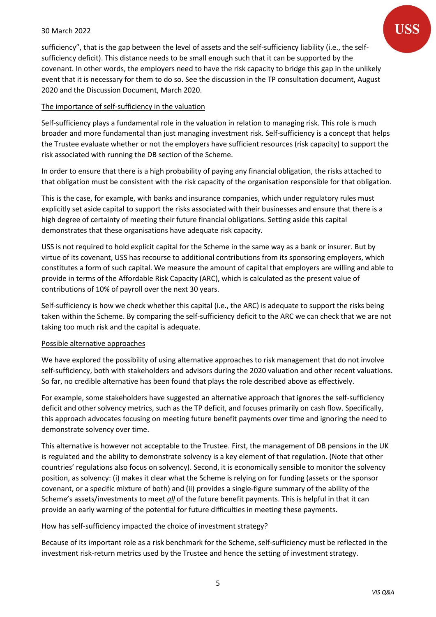sufficiency", that is the gap between the level of assets and the self-sufficiency liability (i.e., the selfsufficiency deficit). This distance needs to be small enough such that it can be supported by the covenant. In other words, the employers need to have the risk capacity to bridge this gap in the unlikely event that it is necessary for them to do so. See the discussion in the TP consultation document, August 2020 and the Discussion Document, March 2020.

## The importance of self-sufficiency in the valuation

Self-sufficiency plays a fundamental role in the valuation in relation to managing risk. This role is much broader and more fundamental than just managing investment risk. Self-sufficiency is a concept that helps the Trustee evaluate whether or not the employers have sufficient resources (risk capacity) to support the risk associated with running the DB section of the Scheme.

In order to ensure that there is a high probability of paying any financial obligation, the risks attached to that obligation must be consistent with the risk capacity of the organisation responsible for that obligation.

This is the case, for example, with banks and insurance companies, which under regulatory rules must explicitly set aside capital to support the risks associated with their businesses and ensure that there is a high degree of certainty of meeting their future financial obligations. Setting aside this capital demonstrates that these organisations have adequate risk capacity.

USS is not required to hold explicit capital for the Scheme in the same way as a bank or insurer. But by virtue of its covenant, USS has recourse to additional contributions from its sponsoring employers, which constitutes a form of such capital. We measure the amount of capital that employers are willing and able to provide in terms of the Affordable Risk Capacity (ARC), which is calculated as the present value of contributions of 10% of payroll over the next 30 years.

Self-sufficiency is how we check whether this capital (i.e., the ARC) is adequate to support the risks being taken within the Scheme. By comparing the self-sufficiency deficit to the ARC we can check that we are not taking too much risk and the capital is adequate.

## Possible alternative approaches

We have explored the possibility of using alternative approaches to risk management that do not involve self-sufficiency, both with stakeholders and advisors during the 2020 valuation and other recent valuations. So far, no credible alternative has been found that plays the role described above as effectively.

For example, some stakeholders have suggested an alternative approach that ignores the self-sufficiency deficit and other solvency metrics, such as the TP deficit, and focuses primarily on cash flow. Specifically, this approach advocates focusing on meeting future benefit payments over time and ignoring the need to demonstrate solvency over time.

This alternative is however not acceptable to the Trustee. First, the management of DB pensions in the UK is regulated and the ability to demonstrate solvency is a key element of that regulation. (Note that other countries' regulations also focus on solvency). Second, it is economically sensible to monitor the solvency position, as solvency: (i) makes it clear what the Scheme is relying on for funding (assets or the sponsor covenant, or a specific mixture of both) and (ii) provides a single-figure summary of the ability of the Scheme's assets/investments to meet *all* of the future benefit payments. This is helpful in that it can provide an early warning of the potential for future difficulties in meeting these payments.

#### How has self-sufficiency impacted the choice of investment strategy?

Because of its important role as a risk benchmark for the Scheme, self-sufficiency must be reflected in the investment risk-return metrics used by the Trustee and hence the setting of investment strategy.

5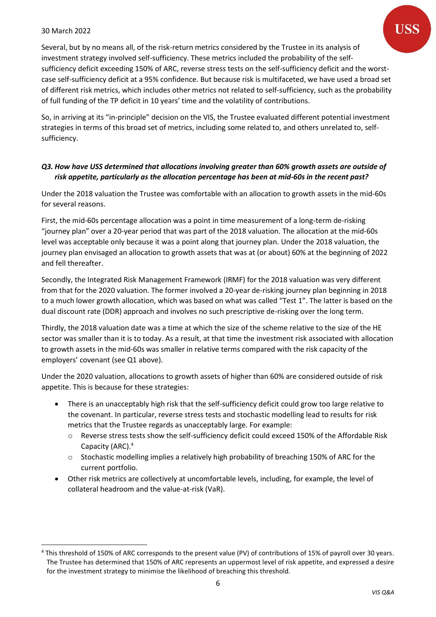Several, but by no means all, of the risk-return metrics considered by the Trustee in its analysis of investment strategy involved self-sufficiency. These metrics included the probability of the selfsufficiency deficit exceeding 150% of ARC, reverse stress tests on the self-sufficiency deficit and the worstcase self-sufficiency deficit at a 95% confidence. But because risk is multifaceted, we have used a broad set of different risk metrics, which includes other metrics not related to self-sufficiency, such as the probability of full funding of the TP deficit in 10 years' time and the volatility of contributions.

So, in arriving at its "in-principle" decision on the VIS, the Trustee evaluated different potential investment strategies in terms of this broad set of metrics, including some related to, and others unrelated to, selfsufficiency.

#### *Q3. How have USS determined that allocations involving greater than 60% growth assets are outside of risk appetite, particularly as the allocation percentage has been at mid-60s in the recent past?*

Under the 2018 valuation the Trustee was comfortable with an allocation to growth assets in the mid-60s for several reasons.

First, the mid-60s percentage allocation was a point in time measurement of a long-term de-risking "journey plan" over a 20-year period that was part of the 2018 valuation. The allocation at the mid-60s level was acceptable only because it was a point along that journey plan. Under the 2018 valuation, the journey plan envisaged an allocation to growth assets that was at (or about) 60% at the beginning of 2022 and fell thereafter.

Secondly, the Integrated Risk Management Framework (IRMF) for the 2018 valuation was very different from that for the 2020 valuation. The former involved a 20-year de-risking journey plan beginning in 2018 to a much lower growth allocation, which was based on what was called "Test 1". The latter is based on the dual discount rate (DDR) approach and involves no such prescriptive de-risking over the long term.

Thirdly, the 2018 valuation date was a time at which the size of the scheme relative to the size of the HE sector was smaller than it is to today. As a result, at that time the investment risk associated with allocation to growth assets in the mid-60s was smaller in relative terms compared with the risk capacity of the employers' covenant (see Q1 above).

Under the 2020 valuation, allocations to growth assets of higher than 60% are considered outside of risk appetite. This is because for these strategies:

- There is an unacceptably high risk that the self-sufficiency deficit could grow too large relative to the covenant. In particular, reverse stress tests and stochastic modelling lead to results for risk metrics that the Trustee regards as unacceptably large. For example:
	- o Reverse stress tests show the self-sufficiency deficit could exceed 150% of the Affordable Risk Capacity (ARC). 4
	- o Stochastic modelling implies a relatively high probability of breaching 150% of ARC for the current portfolio.
- Other risk metrics are collectively at uncomfortable levels, including, for example, the level of collateral headroom and the value-at-risk (VaR).

<sup>4</sup> This threshold of 150% of ARC corresponds to the present value (PV) of contributions of 15% of payroll over 30 years. The Trustee has determined that 150% of ARC represents an uppermost level of risk appetite, and expressed a desire for the investment strategy to minimise the likelihood of breaching this threshold.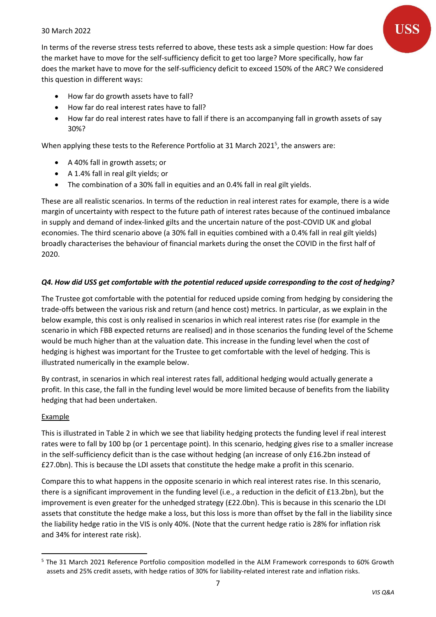In terms of the reverse stress tests referred to above, these tests ask a simple question: How far does the market have to move for the self-sufficiency deficit to get too large? More specifically, how far does the market have to move for the self-sufficiency deficit to exceed 150% of the ARC? We considered this question in different ways:

- How far do growth assets have to fall?
- How far do real interest rates have to fall?
- How far do real interest rates have to fall if there is an accompanying fall in growth assets of say 30%?

When applying these tests to the Reference Portfolio at 31 March 2021<sup>5</sup>, the answers are:

- A 40% fall in growth assets; or
- A 1.4% fall in real gilt yields; or
- The combination of a 30% fall in equities and an 0.4% fall in real gilt yields.

These are all realistic scenarios. In terms of the reduction in real interest rates for example, there is a wide margin of uncertainty with respect to the future path of interest rates because of the continued imbalance in supply and demand of index-linked gilts and the uncertain nature of the post-COVID UK and global economies. The third scenario above (a 30% fall in equities combined with a 0.4% fall in real gilt yields) broadly characterises the behaviour of financial markets during the onset the COVID in the first half of 2020.

# *Q4. How did USS get comfortable with the potential reduced upside corresponding to the cost of hedging?*

The Trustee got comfortable with the potential for reduced upside coming from hedging by considering the trade-offs between the various risk and return (and hence cost) metrics. In particular, as we explain in the below example, this cost is only realised in scenarios in which real interest rates rise (for example in the scenario in which FBB expected returns are realised) and in those scenarios the funding level of the Scheme would be much higher than at the valuation date. This increase in the funding level when the cost of hedging is highest was important for the Trustee to get comfortable with the level of hedging. This is illustrated numerically in the example below.

By contrast, in scenarios in which real interest rates fall, additional hedging would actually generate a profit. In this case, the fall in the funding level would be more limited because of benefits from the liability hedging that had been undertaken.

## Example

This is illustrated in Table 2 in which we see that liability hedging protects the funding level if real interest rates were to fall by 100 bp (or 1 percentage point). In this scenario, hedging gives rise to a smaller increase in the self-sufficiency deficit than is the case without hedging (an increase of only £16.2bn instead of £27.0bn). This is because the LDI assets that constitute the hedge make a profit in this scenario.

Compare this to what happens in the opposite scenario in which real interest rates rise. In this scenario, there is a significant improvement in the funding level (i.e., a reduction in the deficit of £13.2bn), but the improvement is even greater for the unhedged strategy (£22.0bn). This is because in this scenario the LDI assets that constitute the hedge make a loss, but this loss is more than offset by the fall in the liability since the liability hedge ratio in the VIS is only 40%. (Note that the current hedge ratio is 28% for inflation risk and 34% for interest rate risk).

<sup>5</sup> The 31 March 2021 Reference Portfolio composition modelled in the ALM Framework corresponds to 60% Growth assets and 25% credit assets, with hedge ratios of 30% for liability-related interest rate and inflation risks.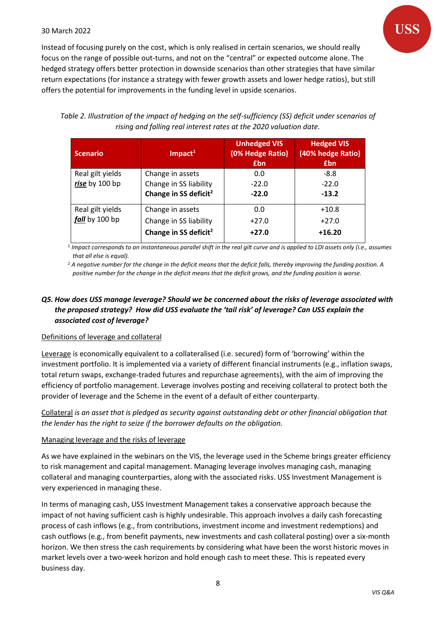Instead of focusing purely on the cost, which is only realised in certain scenarios, we should really focus on the range of possible out-turns, and not on the "central" or expected outcome alone. The hedged strategy offers better protection in downside scenarios than other strategies that have similar return expectations (for instance a strategy with fewer growth assets and lower hedge ratios), but still offers the potential for improvements in the funding level in upside scenarios.

*Table 2. Illustration of the impact of hedging on the self-sufficiency (SS) deficit under scenarios of rising and falling real interest rates at the 2020 valuation date.*

| <b>Scenario</b>                    | $Im$ pact <sup>1</sup>            | <b>Unhedged VIS</b><br>(0% Hedge Ratio)<br><b>£bn</b> | <b>Hedged VIS</b><br>(40% hedge Ratio)<br><b>£bn</b> |
|------------------------------------|-----------------------------------|-------------------------------------------------------|------------------------------------------------------|
| Real gilt yields                   | Change in assets                  | 0.0                                                   | $-8.8$                                               |
| rise by 100 bp                     | Change in SS liability            | $-22.0$                                               | $-22.0$                                              |
|                                    | Change in SS deficit <sup>2</sup> | $-22.0$                                               | $-13.2$                                              |
| Real gilt yields<br>fall by 100 bp | Change in assets                  | 0.0                                                   | $+10.8$                                              |
|                                    | Change in SS liability            | $+27.0$                                               | $+27.0$                                              |
|                                    | Change in SS deficit <sup>2</sup> | $+27.0$                                               | $+16.20$                                             |

<sup>1</sup> Impact corresponds to an instantaneous parallel shift in the real gilt curve and is applied to LDI assets only (i.e., assumes *that all else is equal).*

<sup>2</sup> *A negative number for the change in the deficit means that the deficit falls, thereby improving the funding position. A positive number for the change in the deficit means that the deficit grows, and the funding position is worse.*

# *Q5. How does USS manage leverage? Should we be concerned about the risks of leverage associated with the proposed strategy? How did USS evaluate the 'tail risk' of leverage? Can USS explain the associated cost of leverage?*

#### Definitions of leverage and collateral

Leverage is economically equivalent to a collateralised (i.e. secured) form of 'borrowing' within the investment portfolio. It is implemented via a variety of different financial instruments (e.g., inflation swaps, total return swaps, exchange-traded futures and repurchase agreements), with the aim of improving the efficiency of portfolio management. Leverage involves posting and receiving collateral to protect both the provider of leverage and the Scheme in the event of a default of either counterparty.

Collateral *is an asset that is pledged as security against outstanding debt or other financial obligation that the lender has the right to seize if the borrower defaults on the obligation.*

#### Managing leverage and the risks of leverage

As we have explained in the webinars on the VIS, the leverage used in the Scheme brings greater efficiency to risk management and capital management. Managing leverage involves managing cash, managing collateral and managing counterparties, along with the associated risks. USS Investment Management is very experienced in managing these.

In terms of managing cash, USS Investment Management takes a conservative approach because the impact of not having sufficient cash is highly undesirable. This approach involves a daily cash forecasting process of cash inflows (e.g., from contributions, investment income and investment redemptions) and cash outflows (e.g., from benefit payments, new investments and cash collateral posting) over a six-month horizon. We then stress the cash requirements by considering what have been the worst historic moves in market levels over a two-week horizon and hold enough cash to meet these. This is repeated every business day.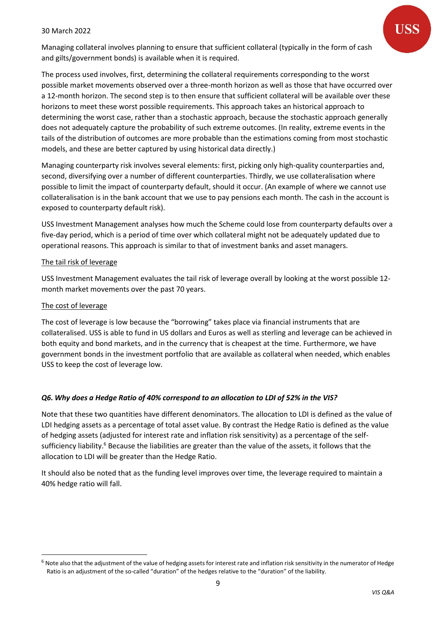Managing collateral involves planning to ensure that sufficient collateral (typically in the form of cash and gilts/government bonds) is available when it is required.

The process used involves, first, determining the collateral requirements corresponding to the worst possible market movements observed over a three-month horizon as well as those that have occurred over a 12-month horizon. The second step is to then ensure that sufficient collateral will be available over these horizons to meet these worst possible requirements. This approach takes an historical approach to determining the worst case, rather than a stochastic approach, because the stochastic approach generally does not adequately capture the probability of such extreme outcomes. (In reality, extreme events in the tails of the distribution of outcomes are more probable than the estimations coming from most stochastic models, and these are better captured by using historical data directly.)

Managing counterparty risk involves several elements: first, picking only high-quality counterparties and, second, diversifying over a number of different counterparties. Thirdly, we use collateralisation where possible to limit the impact of counterparty default, should it occur. (An example of where we cannot use collateralisation is in the bank account that we use to pay pensions each month. The cash in the account is exposed to counterparty default risk).

USS Investment Management analyses how much the Scheme could lose from counterparty defaults over a five-day period, which is a period of time over which collateral might not be adequately updated due to operational reasons. This approach is similar to that of investment banks and asset managers.

#### The tail risk of leverage

USS Investment Management evaluates the tail risk of leverage overall by looking at the worst possible 12 month market movements over the past 70 years.

#### The cost of leverage

The cost of leverage is low because the "borrowing" takes place via financial instruments that are collateralised. USS is able to fund in US dollars and Euros as well as sterling and leverage can be achieved in both equity and bond markets, and in the currency that is cheapest at the time. Furthermore, we have government bonds in the investment portfolio that are available as collateral when needed, which enables USS to keep the cost of leverage low.

## *Q6. Why does a Hedge Ratio of 40% correspond to an allocation to LDI of 52% in the VIS?*

Note that these two quantities have different denominators. The allocation to LDI is defined as the value of LDI hedging assets as a percentage of total asset value. By contrast the Hedge Ratio is defined as the value of hedging assets (adjusted for interest rate and inflation risk sensitivity) as a percentage of the selfsufficiency liability.<sup>6</sup> Because the liabilities are greater than the value of the assets, it follows that the allocation to LDI will be greater than the Hedge Ratio.

It should also be noted that as the funding level improves over time, the leverage required to maintain a 40% hedge ratio will fall.

 $6$  Note also that the adjustment of the value of hedging assets for interest rate and inflation risk sensitivity in the numerator of Hedge Ratio is an adjustment of the so-called "duration" of the hedges relative to the "duration" of the liability.